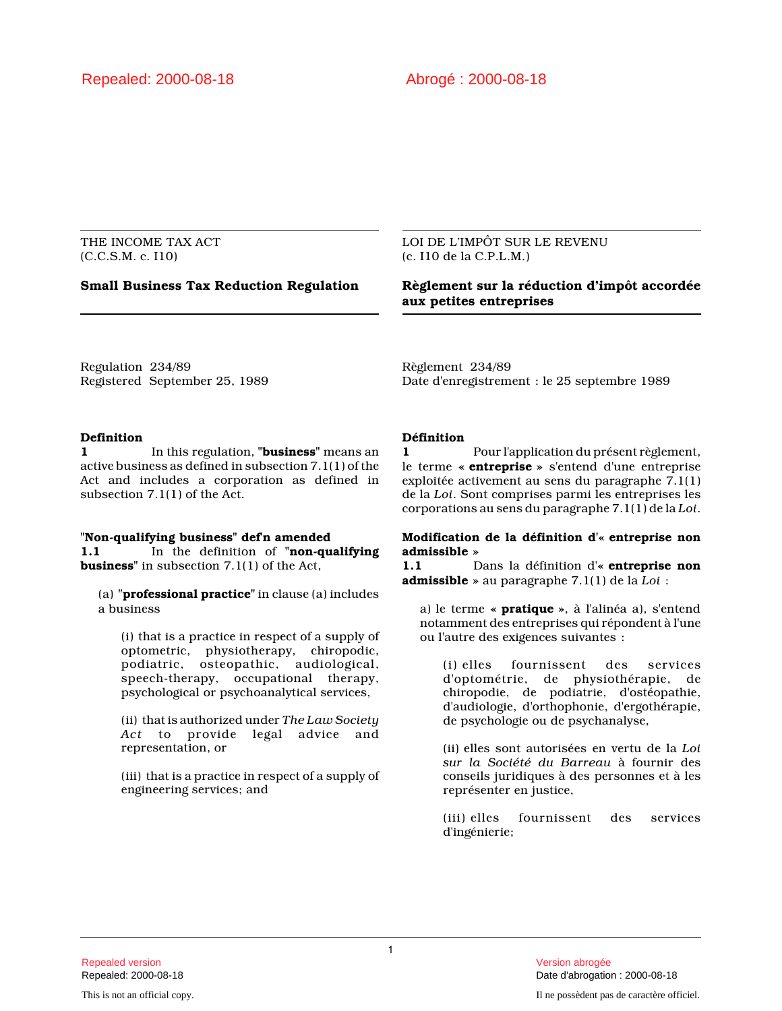# THE INCOME TAX ACT (C.C.S.M. c. I10)

### LOI DE L'IMPÔT SUR LE REVENU (c. I10 de la C.P.L.M.)

# **Small Business Tax Reduction Regulation Règlement sur la réduction d'impôt accordée aux petites entreprises**

Regulation 234/89 Registered September 25, 1989 Règlement 234/89 Date d'enregistrement : le 25 septembre 1989

# **Definition**

**1** In this regulation, **"business"** means an active business as defined in subsection 7.1(1) of the Act and includes a corporation as defined in subsection 7.1(1) of the Act.

#### **"Non-qualifying business" def'n amended 1.1** In the definition of **"non-qualifying business"** in subsection 7.1(1) of the Act,

(a) **"professional practice"** in clause (a) includes a business

(i) that is a practice in respect of a supply of optometric, physiotherapy, chiropodic, podiatric, osteopathic, audiological, speech-therapy, occupational therapy, psychological or psychoanalytical services,

(ii) that is authorized under *The Law Society Act* to provide legal advice and representation, or

(iii) that is a practice in respect of a supply of engineering services; and

# **Définition**

**1** Pour l'application du présent règlement, le terme **« entreprise »** s'entend d'une entreprise exploitée activement au sens du paragraphe 7.1(1) de la *Loi*. Sont comprises parmi les entreprises les corporations au sens du paragraphe 7.1(1) de la *Loi*.

## **Modification de la définition d'« entreprise non admissible »**

**1.1** Dans la définition d'**« entreprise non admissible »** au paragraphe 7.1(1) de la *Loi* :

a) le terme **« pratique »**, à l'alinéa a), s'entend notamment des entreprises qui répondent à l'une ou l'autre des exigences suivantes :

(i) elles fournissent des services d'optométrie, de physiothérapie, de chiropodie, de podiatrie, d'ostéopathie, d'audiologie, d'orthophonie, d'ergothérapie, de psychologie ou de psychanalyse,

(ii) elles sont autorisées en vertu de la *Loi sur la Société du Barreau* à fournir des conseils juridiques à des personnes et à les représenter en justice,

(iii) elles fournissent des services d'ingénierie;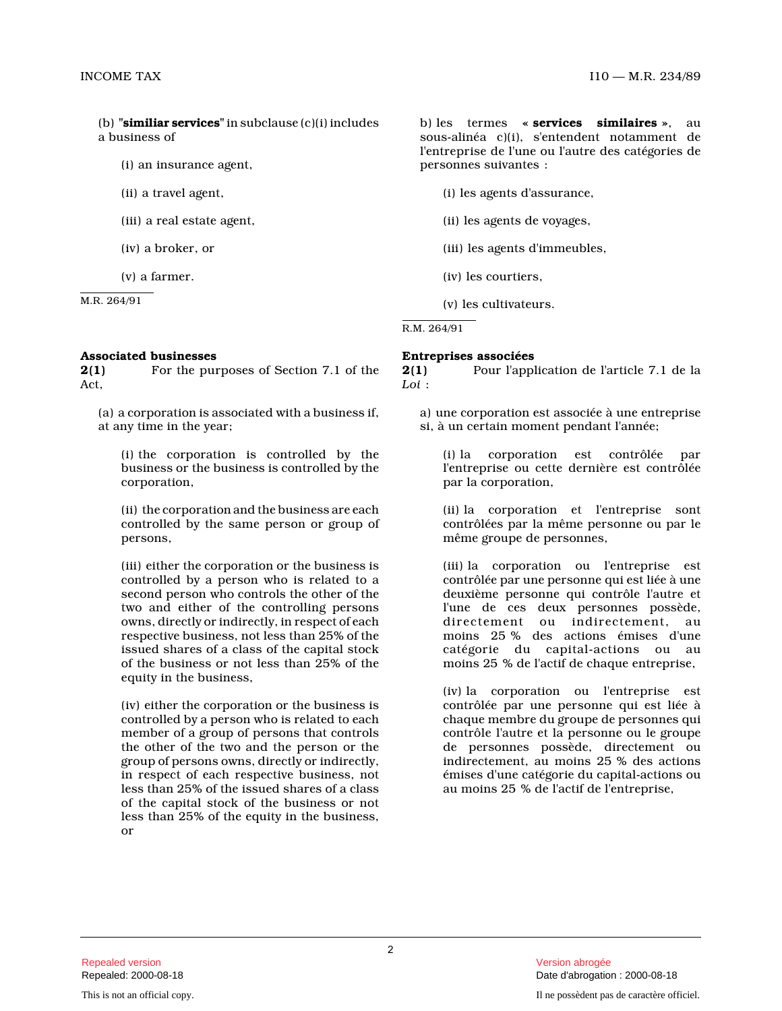(b) **"similiar services"** in subclause (c)(i) includes a business of

(i) an insurance agent,

- (ii) a travel agent,
- (iii) a real estate agent,
- (iv) a broker, or
- (v) a farmer.

M.R. 264/91

#### **Associated businesses**

**2(1)** For the purposes of Section 7.1 of the Act,

(a) a corporation is associated with a business if, at any time in the year;

(i) the corporation is controlled by the business or the business is controlled by the corporation,

(ii) the corporation and the business are each controlled by the same person or group of persons,

(iii) either the corporation or the business is controlled by a person who is related to a second person who controls the other of the two and either of the controlling persons owns, directly or indirectly, in respect of each respective business, not less than 25% of the issued shares of a class of the capital stock of the business or not less than 25% of the equity in the business,

(iv) either the corporation or the business is controlled by a person who is related to each member of a group of persons that controls the other of the two and the person or the group of persons owns, directly or indirectly, in respect of each respective business, not less than 25% of the issued shares of a class of the capital stock of the business or not less than 25% of the equity in the business, or

b) les termes **« services similaires »**, au sous-alinéa c)(i), s'entendent notamment de l'entreprise de l'une ou l'autre des catégories de personnes suivantes :

(i) les agents d'assurance,

(ii) les agents de voyages,

(iii) les agents d'immeubles,

(iv) les courtiers,

(v) les cultivateurs.

R.M. 264/91

#### **Entreprises associées**

**2(1)** Pour l'application de l'article 7.1 de la *Loi* :

a) une corporation est associée à une entreprise si, à un certain moment pendant l'année;

(i) la corporation est contrôlée par l'entreprise ou cette dernière est contrôlée par la corporation,

(ii) la corporation et l'entreprise sont contrôlées par la même personne ou par le même groupe de personnes,

(iii) la corporation ou l'entreprise est contrôlée par une personne qui est liée à une deuxième personne qui contrôle l'autre et l'une de ces deux personnes possède, directement ou indirectement, au moins 25 % des actions émises d'une catégorie du capital-actions ou au moins 25 % de l'actif de chaque entreprise,

(iv) la corporation ou l'entreprise est contrôlée par une personne qui est liée à chaque membre du groupe de personnes qui contrôle l'autre et la personne ou le groupe de personnes possède, directement ou indirectement, au moins 25 % des actions émises d'une catégorie du capital-actions ou au moins 25 % de l'actif de l'entreprise,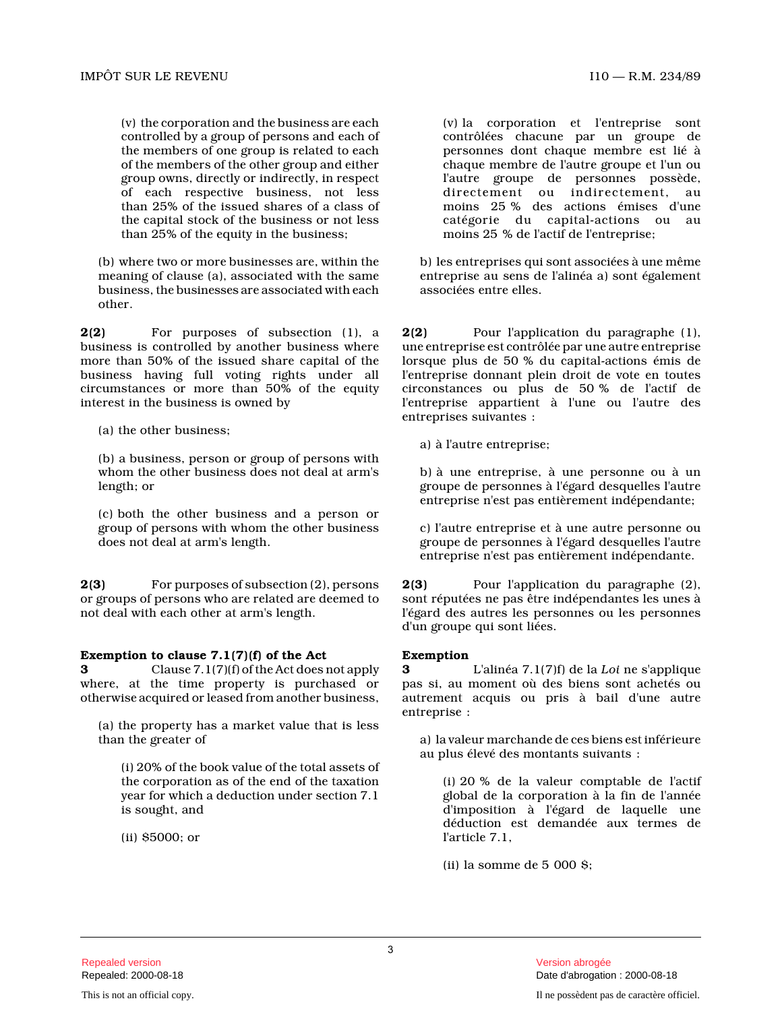(v) the corporation and the business are each controlled by a group of persons and each of the members of one group is related to each of the members of the other group and either group owns, directly or indirectly, in respect of each respective business, not less than 25% of the issued shares of a class of the capital stock of the business or not less than 25% of the equity in the business;

(b) where two or more businesses are, within the meaning of clause (a), associated with the same business, the businesses are associated with each other.

**2(2)** For purposes of subsection (1), a business is controlled by another business where more than 50% of the issued share capital of the business having full voting rights under all circumstances or more than 50% of the equity interest in the business is owned by

(a) the other business;

(b) a business, person or group of persons with whom the other business does not deal at arm's length; or

(c) both the other business and a person or group of persons with whom the other business does not deal at arm's length.

**2(3)** For purposes of subsection (2), persons or groups of persons who are related are deemed to not deal with each other at arm's length.

# **Exemption to clause 7.1(7)(f) of the Act**

**3** Clause 7.1(7)(f) of the Act does not apply where, at the time property is purchased or otherwise acquired or leased from another business,

(a) the property has a market value that is less than the greater of

(i) 20% of the book value of the total assets of the corporation as of the end of the taxation year for which a deduction under section 7.1 is sought, and

(ii) \$5000; or

(v) la corporation et l'entreprise sont contrôlées chacune par un groupe de personnes dont chaque membre est lié à chaque membre de l'autre groupe et l'un ou l'autre groupe de personnes possède, directement ou indirectement, au moins 25 % des actions émises d'une catégorie du capital-actions ou au moins 25 % de l'actif de l'entreprise;

b) les entreprises qui sont associées à une même entreprise au sens de l'alinéa a) sont également associées entre elles.

**2(2)** Pour l'application du paragraphe (1), une entreprise est contrôlée par une autre entreprise lorsque plus de 50 % du capital-actions émis de l'entreprise donnant plein droit de vote en toutes circonstances ou plus de 50 % de l'actif de l'entreprise appartient à l'une ou l'autre des entreprises suivantes :

a) à l'autre entreprise;

b) à une entreprise, à une personne ou à un groupe de personnes à l'égard desquelles l'autre entreprise n'est pas entièrement indépendante;

c) l'autre entreprise et à une autre personne ou groupe de personnes à l'égard desquelles l'autre entreprise n'est pas entièrement indépendante.

**2(3)** Pour l'application du paragraphe (2), sont réputées ne pas être indépendantes les unes à l'égard des autres les personnes ou les personnes d'un groupe qui sont liées.

# **Exemption**

**3** L'alinéa 7.1(7)f) de la *Loi* ne s'applique pas si, au moment où des biens sont achetés ou autrement acquis ou pris à bail d'une autre entreprise :

a) la valeur marchande de ces biens est inférieure au plus élevé des montants suivants :

(i) 20 % de la valeur comptable de l'actif global de la corporation à la fin de l'année d'imposition à l'égard de laquelle une déduction est demandée aux termes de l'article 7.1,

(ii) la somme de 5 000 \$;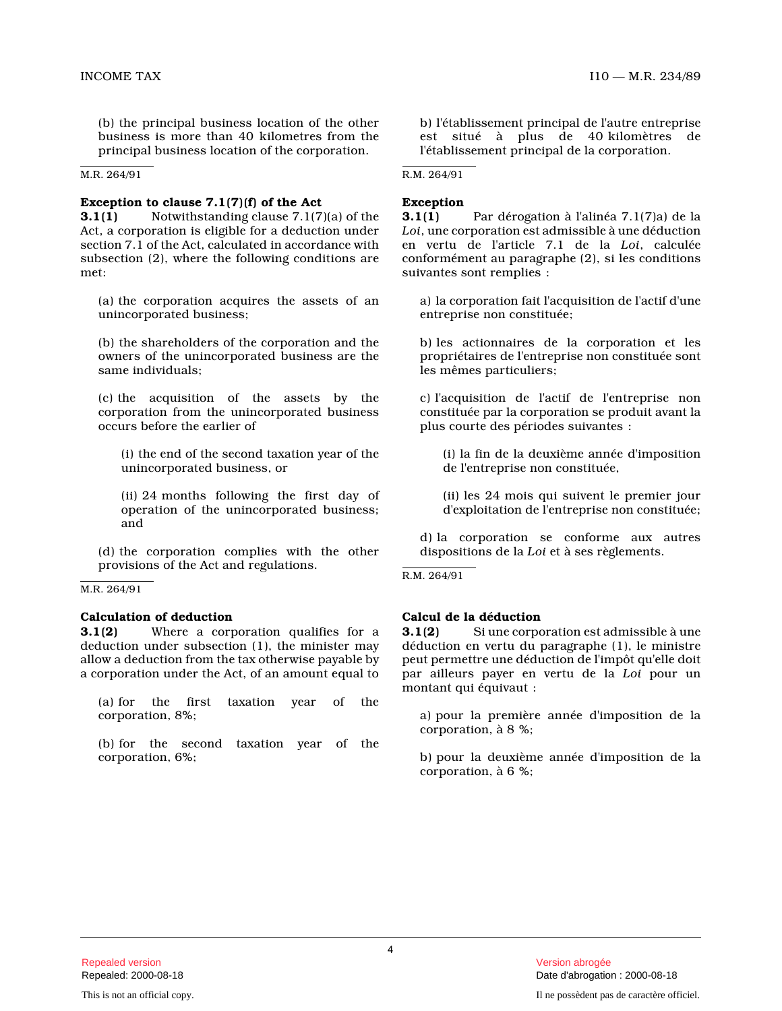(b) the principal business location of the other business is more than 40 kilometres from the principal business location of the corporation.

M.R. 264/91

#### **Exception to clause 7.1(7)(f) of the Act**

**3.1(1)** Notwithstanding clause 7.1(7)(a) of the Act, a corporation is eligible for a deduction unde r section 7.1 of the Act, calculated in accordance with subsection (2), where the following conditions are met:

(a) the corporation acquires the assets of an unincorporated business;

(b) the shareholders of the corporation and the owners of the unincorporated business are the same individuals;

(c) the acquisition of the assets by the corporation from the unincorporated business occurs before the earlier of

(i) the end of the second taxation year of the unincorporated business, or

(ii) 24 months following the first day of operation of the unincorporated business; and

(d) the corporation complies with the other provisions of the Act and regulations.

#### M.R. 264/91

### **Calculation of deduction**

**3.1(2)** Where a corporation qualifies for a deduction under subsection (1), the minister may allow a deduction from the tax otherwise payable by a corporation under the Act, of an amount equal to

(a) for the first taxation year of the corporation, 8%;

(b) for the second taxation year of the corporation, 6%;

b) l'établissement principal de l'autre entreprise est situé à plus de 40 kilomètres de l'établissement principal de la corporation.

R.M. 264/91

#### **Exception**

**3.1(1)** Par dérogation à l'alinéa 7.1(7)a) de la *Loi*, une corporation est admissible à une déduction en vertu de l'article 7.1 de la *Loi*, calculée conformément au paragraphe (2), si les conditions suivantes sont remplies :

a) la corporation fait l'acquisition de l'actif d'un e entreprise non constituée;

b) les actionnaires de la corporation et les propriétaires de l'entreprise non constituée sont les mêmes particuliers;

c) l'acquisition de l'actif de l'entreprise non constituée par la corporation se produit avant la plus courte des périodes suivantes :

(i) la fin de la deuxième année d'imposition de l'entreprise non constituée,

(ii) les 24 mois qui suivent le premier jour d'exploitation de l'entreprise non constituée;

d) la corporation se conforme aux autres dispositions de la *Loi* et à ses règlements.

R.M. 264/91

# **Calcul de la déduction**

**3.1(2)** Si une corporation est admissible à une déduction en vertu du paragraphe (1), le ministre peut permettre une déduction de l'impôt qu'elle doi t par ailleurs payer en vertu de la *Loi* pour un montant qui équivaut :

a) pour la première année d'imposition de la corporation, à 8 %;

b) pour la deuxième année d'imposition de la corporation, à 6 %;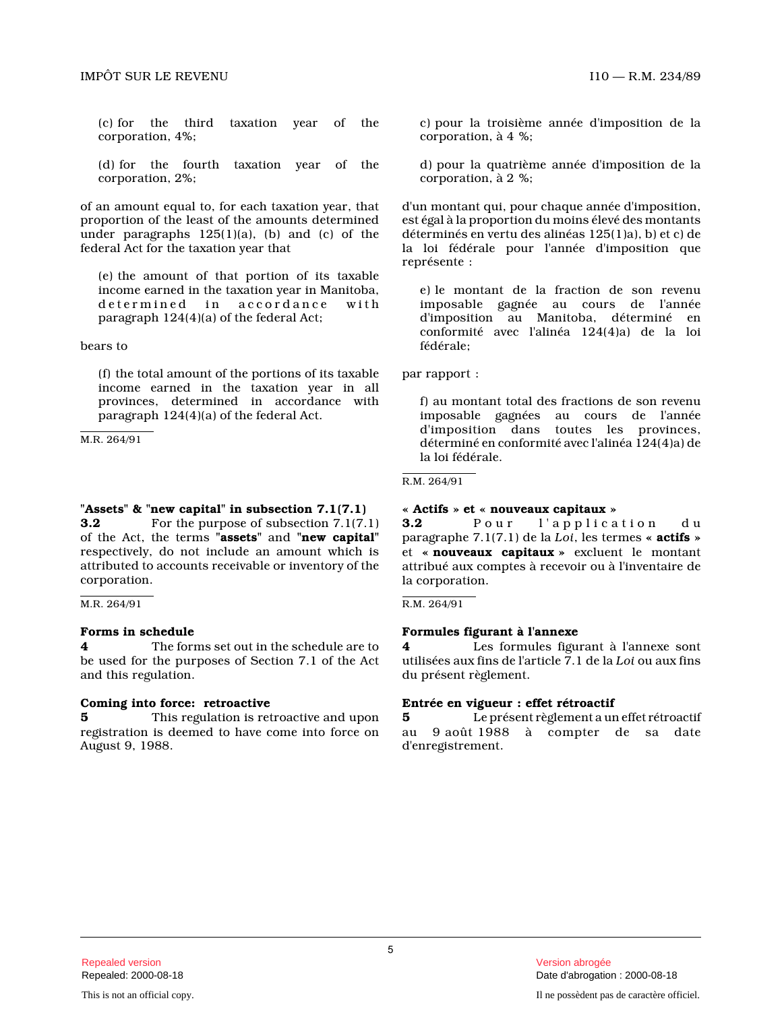(c) for the third taxation year of the corporation, 4%;

(d) for the fourth taxation year of the corporation, 2%;

of an amount equal to, for each taxation year, that proportion of the least of the amounts determined under paragraphs  $125(1)(a)$ , (b) and (c) of the federal Act for the taxation year that

(e) the amount of that portion of its taxable income earned in the taxation year in Manitoba, determined in accordance with paragraph 124(4)(a) of the federal Act;

bears to

(f) the total amount of the portions of its taxable income earned in the taxation year in all provinces, determined in accordance with paragraph 124(4)(a) of the federal Act.

M.R. 264/91

### **"Assets" & "new capital" in subsection 7.1(7.1) 3.2** For the purpose of subsection 7.1(7.1) of the Act, the terms **"assets"** and **"new capital"** respectively, do not include an amount which is attributed to accounts receivable or inventory of the corporation.

M.R. 264/91

# **Forms in schedule**

**4** The forms set out in the schedule are to be used for the purposes of Section 7.1 of the Act and this regulation.

#### **Coming into force: retroactive**

**5** This regulation is retroactive and upon registration is deemed to have come into force on August 9, 1988.

c) pour la troisième année d'imposition de la corporation, à 4 %;

d) pour la quatrième année d'imposition de la corporation, à 2 %;

d'un montant qui, pour chaque année d'imposition, est égal à la proportion du moins élevé des montant s déterminés en vertu des alinéas 125(1)a), b) et c) de la loi fédérale pour l'année d'imposition que représente :

e) le montant de la fraction de son revenu imposable gagnée au cours de l'année d'imposition au Manitoba, déterminé en conformité avec l'alinéa 124(4)a) de la loi fédérale;

par rapport :

f) au montant total des fractions de son revenu imposable gagnées au cours de l'année d'imposition dans toutes les provinces, déterminé en conformité avec l'alinéa 124(4)a) de la loi fédérale.

R.M. 264/91

#### **« Actifs » et « nouveaux capitaux »**

**3.2** Pour l'application du paragraphe 7.1(7.1) de la *Loi*, les termes **« actifs »** et **« nouveaux capitaux »** excluent le montant attribué aux comptes à recevoir ou à l'inventaire d e la corporation.

R.M. 264/91

# **Formules figurant à l'annexe**

**4** Les formules figurant à l'annexe sont utilisées aux fins de l'article 7.1 de la *Loi* ou aux fins du présent règlement.

# **Entrée en vigueur : effet rétroactif**

**5** Le présent règlement a un effet rétroactif au 9 août 1988 à compter de sa date d'enregistrement.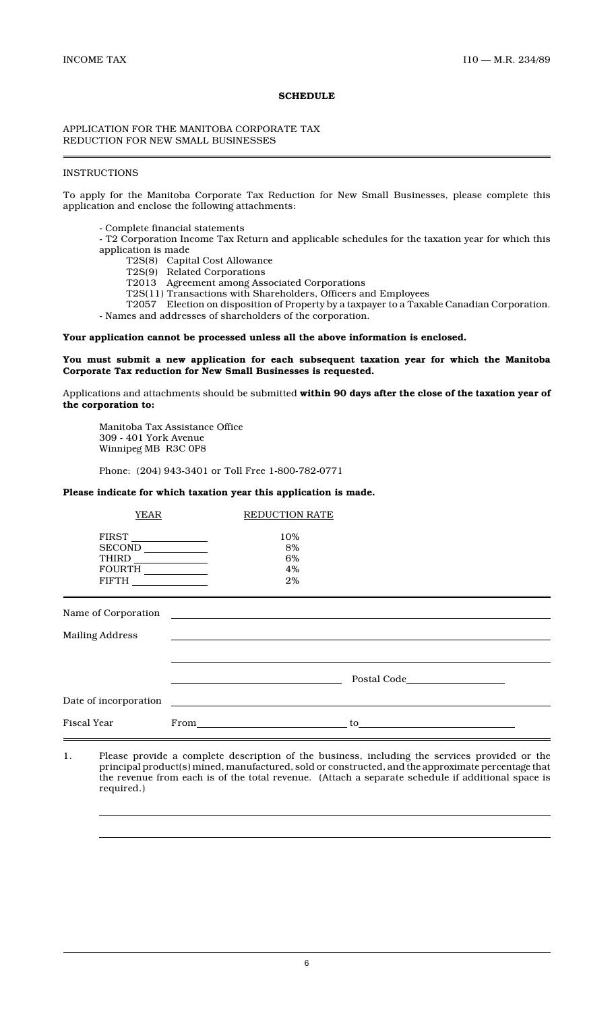# **SCHEDULE**

# APPLICATION FOR THE MANITOBA CORPORATE TAX REDUCTION FOR NEW SMALL BUSINESSES

# **INSTRUCTIONS**

To apply for the Manitoba Corporate Tax Reduction for New Small Businesses, please complete this application and enclose the following attachments:

- Complete financial statements
- T2 Corporation Income Tax Return and applicable schedules for the taxation year for which this application is made
	- T2S(8) Capital Cost Allowance
	- T2S(9) Related Corporations
	- T2013 Agreement among Associated Corporations
	- T2S(11) Transactions with Shareholders, Officers and Employees

T2057 Election on disposition of Property by a taxpayer to a Taxable Canadian Corporation. - Names and addresses of shareholders of the corporation.

#### **Your application cannot be processed unless all the above information is enclosed.**

# **You must submit a new application for each subsequent taxation year for which the Manitoba Corporate Tax reduction for New Small Businesses is requested.**

Applications and attachments should be submitted **within 90 days after the close of the taxation year of the corporation to:**

Manitoba Tax Assistance Office 309 - 401 York Avenue Winnipeg MB R3C 0P8

Phone: (204) 943-3401 or Toll Free 1-800-782-0771

# **Please indicate for which taxation year this application is made.**

| <b>YEAR</b>                            | <b>REDUCTION RATE</b>       |       |
|----------------------------------------|-----------------------------|-------|
| FIRST<br>SECOND<br>FOURTH ____________ | 10%<br>8%<br>6%<br>4%<br>2% |       |
|                                        |                             |       |
| <b>Mailing Address</b>                 |                             |       |
|                                        |                             |       |
|                                        |                             |       |
|                                        |                             |       |
| Fiscal Year                            |                             | to to |

1. Please provide a complete description of the business, including the services provided or the principal product(s) mined, manufactured, sold or constructed, and the approximate percentage that the revenue from each is of the total revenue. (Attach a separate schedule if additional space is required.)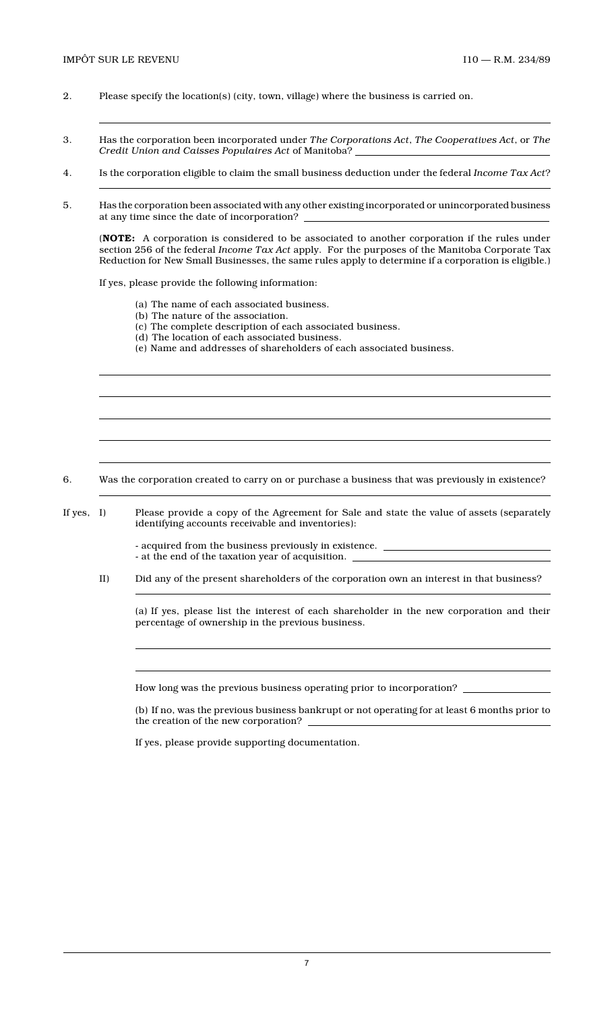- 2. Please specify the location(s) (city, town, village) where the business is carried on.
- 3. Has the corporation been incorporated under *The Corporations Act*, *The Cooperatives Act*, or *The Credit Union and Caisses Populaires Act* of Manitoba?
- 4. Is the corporation eligible to claim the small business deduction under the federal *Income Tax Act*?
- 5. Has the corporation been associated with any other existing incorporated or unincorporated business at any time since the date of incorporation?

(**NOTE:** A corporation is considered to be associated to another corporation if the rules under section 256 of the federal *Income Tax Act* apply. For the purposes of the Manitoba Corporate Tax Reduction for New Small Businesses, the same rules apply to determine if a corporation is eligible.)

If yes, please provide the following information:

- (a) The name of each associated business.
- (b) The nature of the association.
- (c) The complete description of each associated business.
- (d) The location of each associated business.
- (e) Name and addresses of shareholders of each associated business.

6. Was the corporation created to carry on or purchase a business that was previously in existence?

If yes, I) Please provide a copy of the Agreement for Sale and state the value of assets (separately identifying accounts receivable and inventories):

> - acquired from the business previously in existence.  $\_$ - at the end of the taxation year of acquisition.

II) Did any of the present shareholders of the corporation own an interest in that business?

(a) If yes, please list the interest of each shareholder in the new corporation and their percentage of ownership in the previous business.

How long was the previous business operating prior to incorporation?

(b) If no, was the previous business bankrupt or not operating for at least 6 months prior to the creation of the new corporation?

If yes, please provide supporting documentation.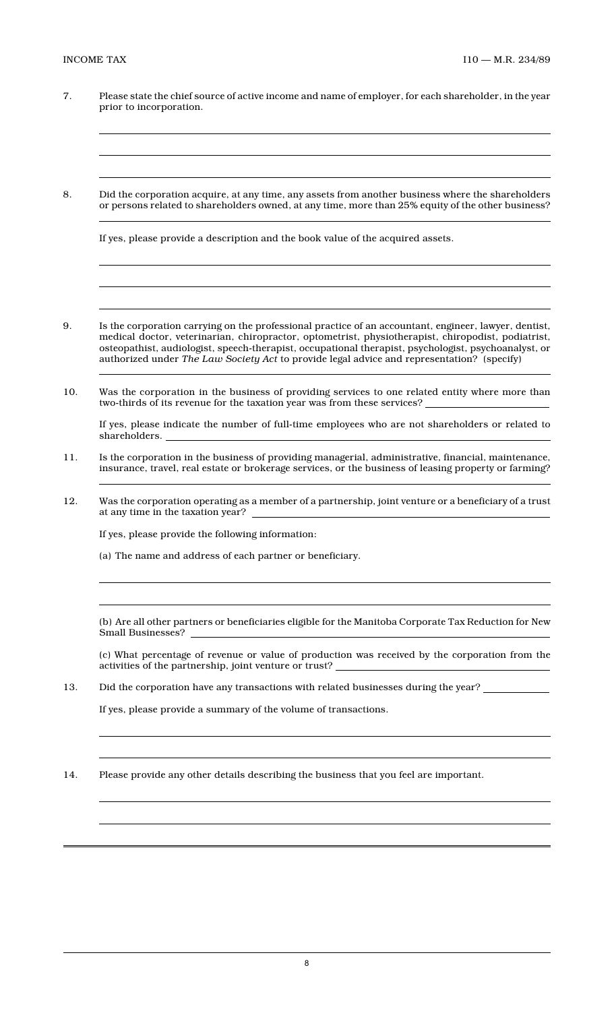- 7. Please state the chief source of active income and name of employer, for each shareholder, in the year prior to incorporation.
- 8. Did the corporation acquire, at any time, any assets from another business where the shareholders or persons related to shareholders owned, at any time, more than 25% equity of the other business?

If yes, please provide a description and the book value of the acquired assets.

- 9. Is the corporation carrying on the professional practice of an accountant, engineer, lawyer, dentist, medical doctor, veterinarian, chiropractor, optometrist, physiotherapist, chiropodist, podiatrist, osteopathist, audiologist, speech-therapist, occupational therapist, psychologist, psychoanalyst, or authorized under *The Law Society Act* to provide legal advice and representation? (specify)
- 10. Was the corporation in the business of providing services to one related entity where more than two-thirds of its revenue for the taxation year was from these services?

If yes, please indicate the number of full-time employees who are not shareholders or related to shareholders.

- 11. Is the corporation in the business of providing managerial, administrative, financial, maintenance, insurance, travel, real estate or brokerage services, or the business of leasing property or farming?
- 12. Was the corporation operating as a member of a partnership, joint venture or a beneficiary of a trust at any time in the taxation year?

If yes, please provide the following information:

(a) The name and address of each partner or beneficiary.

(b) Are all other partners or beneficiaries eligible for the Manitoba Corporate Tax Reduction for New Small Businesses?

(c) What percentage of revenue or value of production was received by the corporation from the activities of the partnership, joint venture or trust?

13. Did the corporation have any transactions with related businesses during the year?

If yes, please provide a summary of the volume of transactions.

14. Please provide any other details describing the business that you feel are important.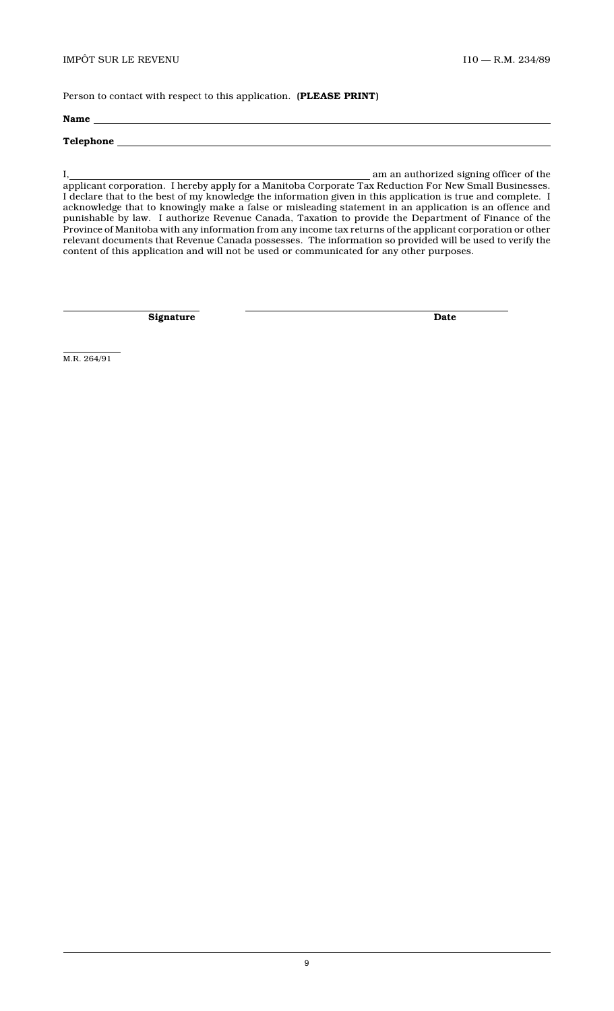Person to contact with respect to this application. **(PLEASE PRINT)**

# **Name Telephone**

I, am an authorized signing officer of the applicant corporation. I hereby apply for a Manitoba Corporate Tax Reduction For New Small Businesses. I declare that to the best of my knowledge the information given in this application is true and complete. I acknowledge that to knowingly make a false or misleading statement in an application is an offence and punishable by law. I authorize Revenue Canada, Taxation to provide the Department of Finance of the Province of Manitoba with any information from any income tax returns of the applicant corporation or other relevant documents that Revenue Canada possesses. The information so provided will be used to verify the content of this application and will not be used or communicated for any other purposes.

**Signature** Date

M.R. 264/91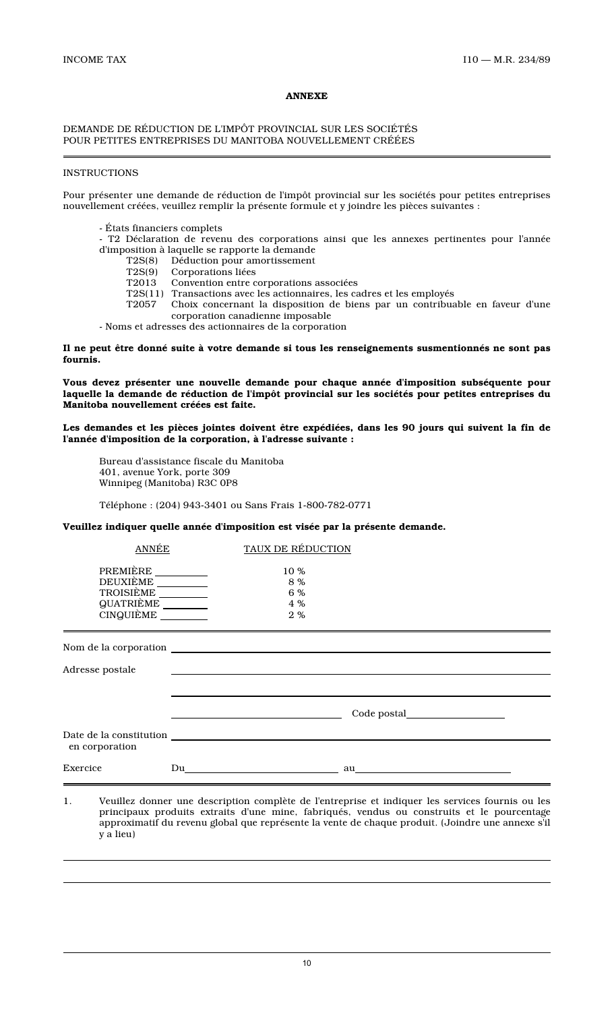# **ANNEXE**

# DEMANDE DE RÉDUCTION DE L'IMPÔT PROVINCIAL SUR LES SOCIÉTÉS POUR PETITES ENTREPRISES DU MANITOBA NOUVELLEMENT CRÉÉES

# **INSTRUCTIONS**

Pour présenter une demande de réduction de l'impôt provincial sur les sociétés pour petites entreprises nouvellement créées, veuillez remplir la présente formule et y joindre les pièces suivantes :

- États financiers complets
- T2 Déclaration de revenu des corporations ainsi que les annexes pertinentes pour l'année d'imposition à laquelle se rapporte la demande
	- Déduction pour amortissement
	- T2S(9) Corporations liées
	- Convention entre corporations associées
	- T2S(11) Transactions avec les actionnaires, les cadres et les employés
	- T2057 Choix concernant la disposition de biens par un contribuable en faveur d'une corporation canadienne imposable
- Noms et adresses des actionnaires de la corporation

**Il ne peut être donné suite à votre demande si tous les renseignements susmentionnés ne sont pas fournis.**

**Vous devez présenter une nouvelle demande pour chaque année d'imposition subséquente pour laquelle la demande de réduction de l'impôt provincial sur les sociétés pour petites entreprises du Manitoba nouvellement créées est faite.**

**Les demandes et les pièces jointes doivent être expédiées, dans les 90 jours qui suivent la fin de l'année d'imposition de la corporation, à l'adresse suivante :**

Bureau d'assistance fiscale du Manitoba 401, avenue York, porte 309 Winnipeg (Manitoba) R3C 0P8

Téléphone : (204) 943-3401 ou Sans Frais 1-800-782-0771

**Veuillez indiquer quelle année d'imposition est visée par la présente demande.**

| ANNÉE                                                                 | TAUX DE RÉDUCTION               |                                                                                                  |
|-----------------------------------------------------------------------|---------------------------------|--------------------------------------------------------------------------------------------------|
| PREMIÈRE<br>DEUXIÈME _________<br>TROISIÈME<br>QUATRIÈME<br>CINGUIÈME | 10 %<br>8 %<br>6 %<br>4 %<br>2% |                                                                                                  |
|                                                                       |                                 |                                                                                                  |
| Adresse postale                                                       |                                 |                                                                                                  |
|                                                                       |                                 |                                                                                                  |
|                                                                       |                                 |                                                                                                  |
| en corporation                                                        |                                 |                                                                                                  |
| Exercice                                                              |                                 |                                                                                                  |
| 1.                                                                    |                                 | Veuillez donner une description complète de l'entreprise et indiquer les services fournis ou les |

1. Veuillez donner une description complète de l'entreprise et indiquer les services fournis ou les principaux produits extraits d'une mine, fabriqués, vendus ou construits et le pourcentage approximatif du revenu global que représente la vente de chaque produit. (Joindre une annexe s'il y a lieu)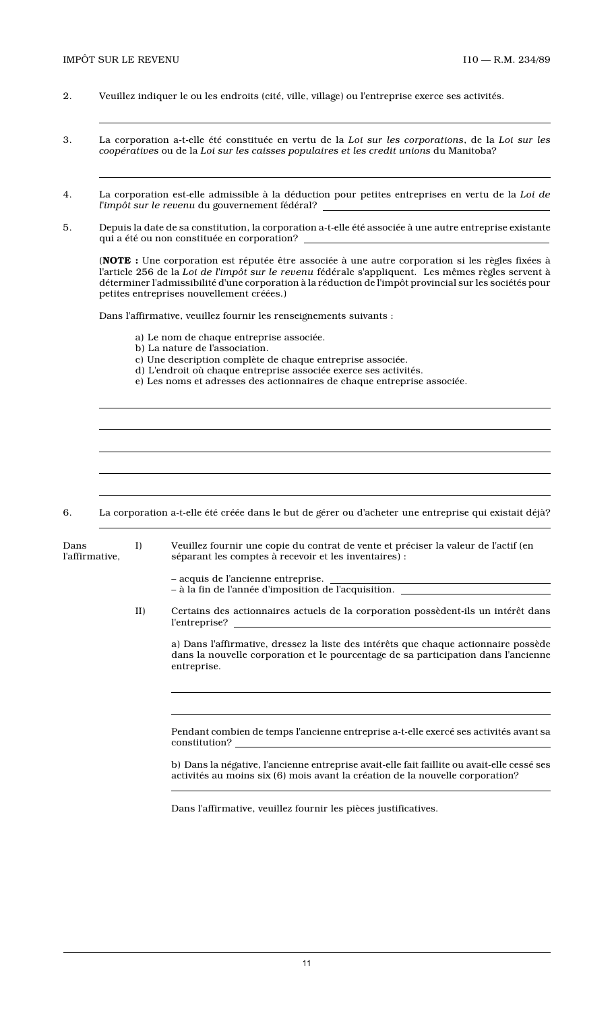- 2. Veuillez indiquer le ou les endroits (cité, ville, village) ou l'entreprise exerce ses activités.
- 3. La corporation a-t-elle été constituée en vertu de la *Loi sur les corporations*, de la *Loi sur les coopératives* ou de la *Loi sur les caisses populaires et les credit unions* du Manitoba?
- 4. La corporation est-elle admissible à la déduction pour petites entreprises en vertu de la *Loi de l'impôt sur le revenu* du gouvernement fédéral?
- 5. Depuis la date de sa constitution, la corporation a-t-elle été associée à une autre entreprise existante qui a été ou non constituée en corporation?

(**NOTE :** Une corporation est réputée être associée à une autre corporation si les règles fixées à l'article 256 de la *Loi de l'impôt sur le revenu* fédérale s'appliquent. Les mêmes règles servent à déterminer l'admissibilité d'une corporation à la réduction de l'impôt provincial sur les sociétés pour petites entreprises nouvellement créées.)

Dans l'affirmative, veuillez fournir les renseignements suivants :

- a) Le nom de chaque entreprise associée.
- b) La nature de l'association.
- c) Une description complète de chaque entreprise associée.
- d) L'endroit où chaque entreprise associée exerce ses activités.
- e) Les noms et adresses des actionnaires de chaque entreprise associée.

6. La corporation a-t-elle été créée dans le but de gérer ou d'acheter une entreprise qui existait déjà?

| Dans<br>l'affirmative, | $I$ ) | Veuillez fournir une copie du contrat de vente et préciser la valeur de l'actif (en<br>séparant les comptes à recevoir et les inventaires) :                                             |
|------------------------|-------|------------------------------------------------------------------------------------------------------------------------------------------------------------------------------------------|
|                        |       | - acquis de l'ancienne entreprise.<br>– à la fin de l'année d'imposition de l'acquisition.                                                                                               |
| II)                    |       | Certains des actionnaires actuels de la corporation possèdent-ils un intérêt dans                                                                                                        |
|                        |       | a) Dans l'affirmative, dressez la liste des intérêts que chaque actionnaire possède<br>dans la nouvelle corporation et le pourcentage de sa participation dans l'ancienne<br>entreprise. |
|                        |       |                                                                                                                                                                                          |
|                        |       | Pendant combien de temps l'ancienne entreprise a-t-elle exercé ses activités avant sa<br>constitution?                                                                                   |
|                        |       | b) Dans la négative, l'ancienne entreprise avait-elle fait faillite ou avait-elle cessé ses<br>activités au moins six (6) mois avant la création de la nouvelle corporation?             |

Dans l'affirmative, veuillez fournir les pièces justificatives.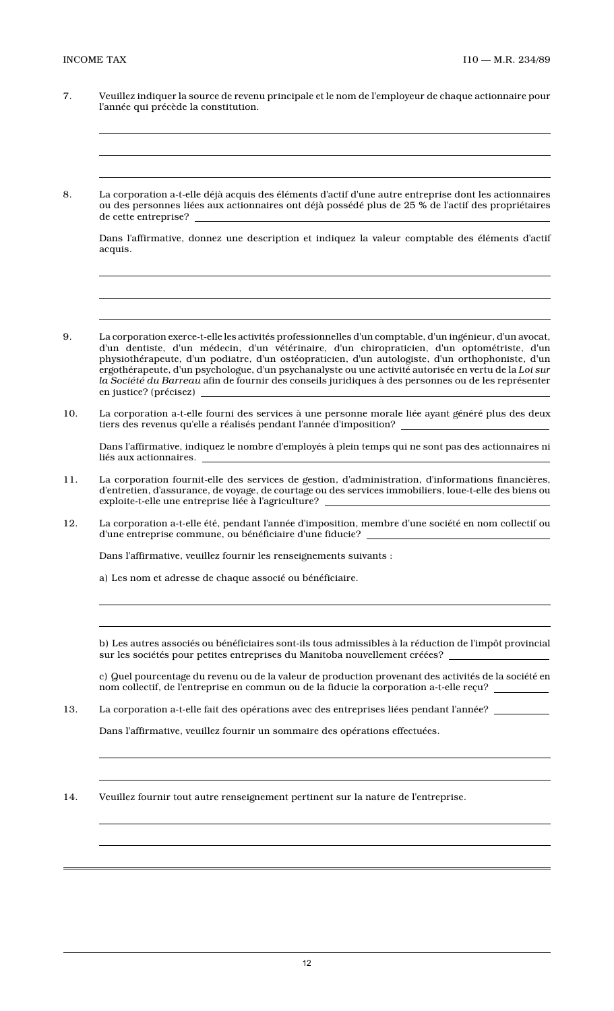- 7. Veuillez indiquer la source de revenu principale et le nom de l'employeur de chaque actionnaire pour l'année qui précède la constitution.
- 8. La corporation a-t-elle déjà acquis des éléments d'actif d'une autre entreprise dont les actionnaires ou des personnes liées aux actionnaires ont déjà possédé plus de 25 % de l'actif des propriétaires de cette entreprise?

Dans l'affirmative, donnez une description et indiquez la valeur comptable des éléments d'actif acquis.

- 9. La corporation exerce-t-elle les activités professionnelles d'un comptable, d'un ingénieur, d'un avocat, d'un dentiste, d'un médecin, d'un vétérinaire, d'un chiropraticien, d'un optométriste, d'un physiothérapeute, d'un podiatre, d'un ostéopraticien, d'un autologiste, d'un orthophoniste, d'un ergothérapeute, d'un psychologue, d'un psychanalyste ou une activité autorisée en vertu de la *Loi sur la Société du Barreau* afin de fournir des conseils juridiques à des personnes ou de les représenter en justice? (précisez)
- 10. La corporation a-t-elle fourni des services à une personne morale liée ayant généré plus des deux tiers des revenus qu'elle a réalisés pendant l'année d'imposition?

Dans l'affirmative, indiquez le nombre d'employés à plein temps qui ne sont pas des actionnaires ni liés aux actionnaires.

- 11. La corporation fournit-elle des services de gestion, d'administration, d'informations financières, d'entretien, d'assurance, de voyage, de courtage ou des services immobiliers, loue-t-elle des biens ou exploite-t-elle une entreprise liée à l'agriculture?
- 12. La corporation a-t-elle été, pendant l'année d'imposition, membre d'une société en nom collectif ou d'une entreprise commune, ou bénéficiaire d'une fiducie?

Dans l'affirmative, veuillez fournir les renseignements suivants :

a) Les nom et adresse de chaque associé ou bénéficiaire.

b) Les autres associés ou bénéficiaires sont-ils tous admissibles à la réduction de l'impôt provincial sur les sociétés pour petites entreprises du Manitoba nouvellement créées?

c) Quel pourcentage du revenu ou de la valeur de production provenant des activités de la société en nom collectif, de l'entreprise en commun ou de la fiducie la corporation a-t-elle reçu?

13. La corporation a-t-elle fait des opérations avec des entreprises liées pendant l'année?

Dans l'affirmative, veuillez fournir un sommaire des opérations effectuées.

14. Veuillez fournir tout autre renseignement pertinent sur la nature de l'entreprise.